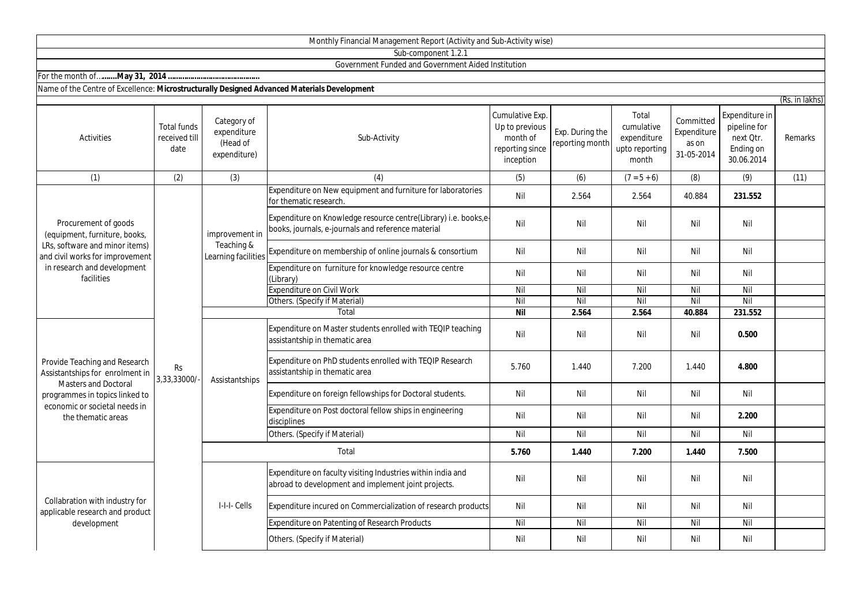## Monthly Financial Management Report (Activity and Sub-Activity wise)

Sub-component 1.2.1

## Government Funded and Government Aided Institution

For the month of…**…....May 31, 2014 ………………………………………**

## Name of the Centre of Excellence: **Microstructurally Designed Advanced Materials Development**

|                                                                                                                                                                                          |                                             |                                                        |                                                                                                                       |                                                                               |                                    |                                                               |                                                 |                                                                        | (Rs. in lakhs) |
|------------------------------------------------------------------------------------------------------------------------------------------------------------------------------------------|---------------------------------------------|--------------------------------------------------------|-----------------------------------------------------------------------------------------------------------------------|-------------------------------------------------------------------------------|------------------------------------|---------------------------------------------------------------|-------------------------------------------------|------------------------------------------------------------------------|----------------|
| Activities                                                                                                                                                                               | <b>Total funds</b><br>received till<br>date | Category of<br>expenditure<br>(Head of<br>expenditure) | Sub-Activity                                                                                                          | Cumulative Exp.<br>Up to previous<br>month of<br>reporting since<br>inception | Exp. During the<br>reporting month | Total<br>cumulative<br>expenditure<br>upto reporting<br>month | Committed<br>Expenditure<br>as on<br>31-05-2014 | Expenditure in<br>pipeline for<br>next Qtr.<br>Ending on<br>30.06.2014 | <b>Remarks</b> |
| (1)                                                                                                                                                                                      | (2)                                         | (3)                                                    | (4)                                                                                                                   | (5)                                                                           | (6)                                | $(7 = 5 + 6)$                                                 | (8)                                             | (9)                                                                    | (11)           |
| Procurement of goods<br>(equipment, furniture, books,<br>LRs, software and minor items)<br>and civil works for improvement<br>in research and development<br>facilities                  | <b>Rs</b><br>3,33,33000/                    | improvement in<br>Teaching &<br>Learning facilities    | Expenditure on New equipment and furniture for laboratories<br>for thematic research.                                 | Nil                                                                           | 2.564                              | 2.564                                                         | 40.884                                          | 231.552                                                                |                |
|                                                                                                                                                                                          |                                             |                                                        | Expenditure on Knowledge resource centre(Library) i.e. books,e-<br>books, journals, e-journals and reference material | Nil                                                                           | Nil                                | Nil                                                           | Nil                                             | Nil                                                                    |                |
|                                                                                                                                                                                          |                                             |                                                        | Expenditure on membership of online journals & consortium                                                             | Nil                                                                           | Nil                                | Nil                                                           | Nil                                             | Nil                                                                    |                |
|                                                                                                                                                                                          |                                             |                                                        | Expenditure on furniture for knowledge resource centre<br>(Library)                                                   | Nil                                                                           | Nil                                | Nil                                                           | Nil                                             | Nil                                                                    |                |
|                                                                                                                                                                                          |                                             |                                                        | <b>Expenditure on Civil Work</b>                                                                                      | Nil                                                                           | Nil                                | Nil                                                           | Nil                                             | Nil                                                                    |                |
|                                                                                                                                                                                          |                                             |                                                        | Others. (Specify if Material)                                                                                         | Nil                                                                           | Nil                                | Nil                                                           | Nil                                             | Nil                                                                    |                |
|                                                                                                                                                                                          |                                             |                                                        | Total                                                                                                                 | <b>Nil</b>                                                                    | 2.564                              | 2.564                                                         | 40.884                                          | 231.552                                                                |                |
| Provide Teaching and Research<br>Assistantships for enrolment in<br><b>Masters and Doctoral</b><br>programmes in topics linked to<br>economic or societal needs in<br>the thematic areas |                                             | Assistantships                                         | Expenditure on Master students enrolled with TEQIP teaching<br>assistantship in thematic area                         | Nil                                                                           | Nil                                | Nil                                                           | Nil                                             | 0.500                                                                  |                |
|                                                                                                                                                                                          |                                             |                                                        | Expenditure on PhD students enrolled with TEQIP Research<br>assistantship in thematic area                            | 5.760                                                                         | 1.440                              | 7.200                                                         | 1.440                                           | 4.800                                                                  |                |
|                                                                                                                                                                                          |                                             |                                                        | Expenditure on foreign fellowships for Doctoral students.                                                             | Nil                                                                           | Nil                                | Nil                                                           | Nil                                             | Nil                                                                    |                |
|                                                                                                                                                                                          |                                             |                                                        | Expenditure on Post doctoral fellow ships in engineering<br>disciplines                                               | Nil                                                                           | Nil                                | Nil                                                           | Nil                                             | 2.200                                                                  |                |
|                                                                                                                                                                                          |                                             |                                                        | Others. (Specify if Material)                                                                                         | Nil                                                                           | Nil                                | Nil                                                           | Nil                                             | Nil                                                                    |                |
|                                                                                                                                                                                          |                                             |                                                        | Total                                                                                                                 | 5.760                                                                         | 1.440                              | 7.200                                                         | 1.440                                           | 7.500                                                                  |                |
| Collabration with industry for<br>applicable research and product<br>development                                                                                                         |                                             | I-I-I-Cells                                            | Expenditure on faculty visiting Industries within india and<br>abroad to development and implement joint projects.    | Nil                                                                           | Nil                                | Nil                                                           | Nil                                             | Nil                                                                    |                |
|                                                                                                                                                                                          |                                             |                                                        | Expenditure incured on Commercialization of research products                                                         | Nil                                                                           | Nil                                | Nil                                                           | Nil                                             | Nil                                                                    |                |
|                                                                                                                                                                                          |                                             |                                                        | Expenditure on Patenting of Research Products                                                                         | Nil                                                                           | Nil                                | Nil                                                           | Nil                                             | Nil                                                                    |                |
|                                                                                                                                                                                          |                                             |                                                        | Others. (Specify if Material)                                                                                         | Nil                                                                           | Nil                                | Nil                                                           | Nil                                             | Nil                                                                    |                |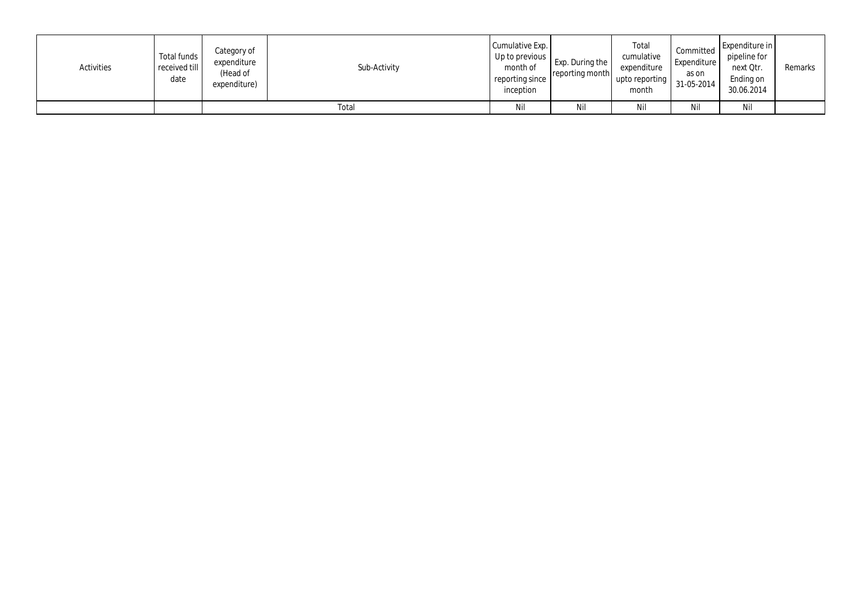| Activities | Total funds<br>received till<br>date | Category of<br>expenditure<br>(Head of<br>expenditure) | Sub-Activity | Cumulative Exp.<br>Up to previous $\blacksquare$<br>month of<br>reporting since<br>inception | Exp. During the<br>reporting month | Total<br>cumulative<br>expenditure<br>upto reporting<br>month | Committed<br>Expenditure<br>as on<br>31-05-2014 | Expenditure in<br>pipeline for<br>next Qtr.<br>Ending on<br>30.06.2014 | Remarks |  |
|------------|--------------------------------------|--------------------------------------------------------|--------------|----------------------------------------------------------------------------------------------|------------------------------------|---------------------------------------------------------------|-------------------------------------------------|------------------------------------------------------------------------|---------|--|
|            |                                      | Total                                                  |              |                                                                                              | Ni                                 | Nil                                                           | Nil                                             | Nil                                                                    |         |  |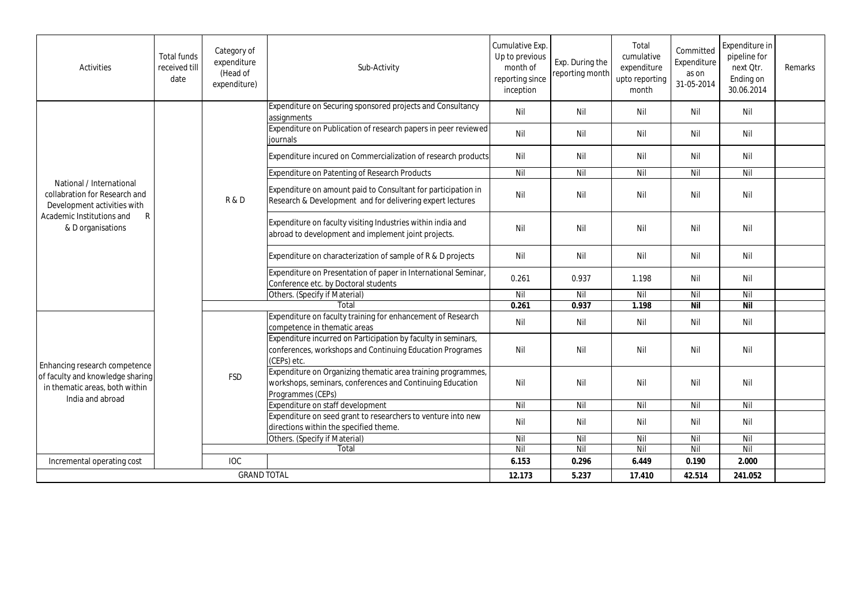| <b>Activities</b>                                                                                                       | <b>Total funds</b><br>received till<br>date | Category of<br>expenditure<br>(Head of<br>expenditure) | Sub-Activity                                                                                                                                   | Cumulative Exp.<br>Up to previous<br>month of<br>reporting since<br>inception | Exp. During the<br>reporting month | Total<br>cumulative<br>expenditure<br>upto reporting<br>month | Committed<br>Expenditure<br>as on<br>31-05-2014 | Expenditure in<br>pipeline for<br>next Otr.<br>Ending on<br>30.06.2014 | Remarks |
|-------------------------------------------------------------------------------------------------------------------------|---------------------------------------------|--------------------------------------------------------|------------------------------------------------------------------------------------------------------------------------------------------------|-------------------------------------------------------------------------------|------------------------------------|---------------------------------------------------------------|-------------------------------------------------|------------------------------------------------------------------------|---------|
|                                                                                                                         |                                             | R&D                                                    | Expenditure on Securing sponsored projects and Consultancy<br>assignments                                                                      | Nil                                                                           | Nil                                | Nil                                                           | Nil                                             | Nil                                                                    |         |
|                                                                                                                         |                                             |                                                        | Expenditure on Publication of research papers in peer reviewed<br>iournals                                                                     | Nil                                                                           | Nil                                | Nil                                                           | Nil                                             | Nil                                                                    |         |
|                                                                                                                         |                                             |                                                        | Expenditure incured on Commercialization of research products                                                                                  | Nil                                                                           | Nil                                | Nil                                                           | Nil                                             | Nil                                                                    |         |
|                                                                                                                         |                                             |                                                        | <b>Expenditure on Patenting of Research Products</b>                                                                                           | Nil                                                                           | Nil                                | Nil                                                           | Nil                                             | Nil                                                                    |         |
| National / International<br>collabration for Research and<br>Development activities with                                |                                             |                                                        | Expenditure on amount paid to Consultant for participation in<br>Research & Development and for delivering expert lectures                     | Nil                                                                           | Nil                                | Nil                                                           | Nil                                             | Nil                                                                    |         |
| Academic Institutions and<br>$\mathsf{R}$<br>& D organisations                                                          |                                             |                                                        | Expenditure on faculty visiting Industries within india and<br>abroad to development and implement joint projects.                             | Nil                                                                           | Nil                                | Nil                                                           | Nil                                             | Nil                                                                    |         |
|                                                                                                                         |                                             |                                                        | Expenditure on characterization of sample of R & D projects                                                                                    | Nil                                                                           | Nil                                | Nil                                                           | Nil                                             | Nil                                                                    |         |
|                                                                                                                         |                                             |                                                        | Expenditure on Presentation of paper in International Seminar,<br>Conference etc. by Doctoral students                                         | 0.261                                                                         | 0.937                              | 1.198                                                         | Nil                                             | Nil                                                                    |         |
|                                                                                                                         |                                             |                                                        | Others. (Specify if Material)                                                                                                                  | Nil                                                                           | Nil                                | Nil                                                           | Nil                                             | Nil                                                                    |         |
|                                                                                                                         |                                             |                                                        | Total                                                                                                                                          | 0.261                                                                         | 0.937                              | 1.198                                                         | <b>Nil</b>                                      | $\overline{N}$                                                         |         |
| Enhancing research competence<br>of faculty and knowledge sharing<br>in thematic areas, both within<br>India and abroad |                                             | FSD                                                    | Expenditure on faculty training for enhancement of Research<br>competence in thematic areas                                                    | Nil                                                                           | Nil                                | Nil                                                           | Nil                                             | Nil                                                                    |         |
|                                                                                                                         |                                             |                                                        | Expenditure incurred on Participation by faculty in seminars,<br>conferences, workshops and Continuing Education Programes<br>(CEPs) etc.      | Nil                                                                           | Nil                                | Nil                                                           | Nil                                             | Nil                                                                    |         |
|                                                                                                                         |                                             |                                                        | Expenditure on Organizing thematic area training programmes,<br>workshops, seminars, conferences and Continuing Education<br>Programmes (CEPs) | Nil                                                                           | Nil                                | Nil                                                           | Nil                                             | Nil                                                                    |         |
|                                                                                                                         |                                             |                                                        | Expenditure on staff development                                                                                                               | Nil                                                                           | Nil                                | Nil                                                           | Nil                                             | Nil                                                                    |         |
|                                                                                                                         |                                             |                                                        | Expenditure on seed grant to researchers to venture into new<br>directions within the specified theme.                                         | Nil                                                                           | Nil                                | Nil                                                           | Nil                                             | Nil                                                                    |         |
|                                                                                                                         |                                             |                                                        | Others. (Specify if Material)                                                                                                                  | Nil                                                                           | Nil                                | Nil                                                           | Nil                                             | Nil                                                                    |         |
|                                                                                                                         |                                             |                                                        | Total                                                                                                                                          | Nil                                                                           | Nil                                | Nil                                                           | Nil                                             | Nil                                                                    |         |
| Incremental operating cost                                                                                              |                                             | <b>IOC</b>                                             |                                                                                                                                                | 6.153                                                                         | 0.296                              | 6.449                                                         | 0.190                                           | 2.000                                                                  |         |
|                                                                                                                         | <b>GRAND TOTAL</b>                          |                                                        |                                                                                                                                                | 12.173                                                                        | 5.237                              | 17.410                                                        | 42.514                                          | 241.052                                                                |         |